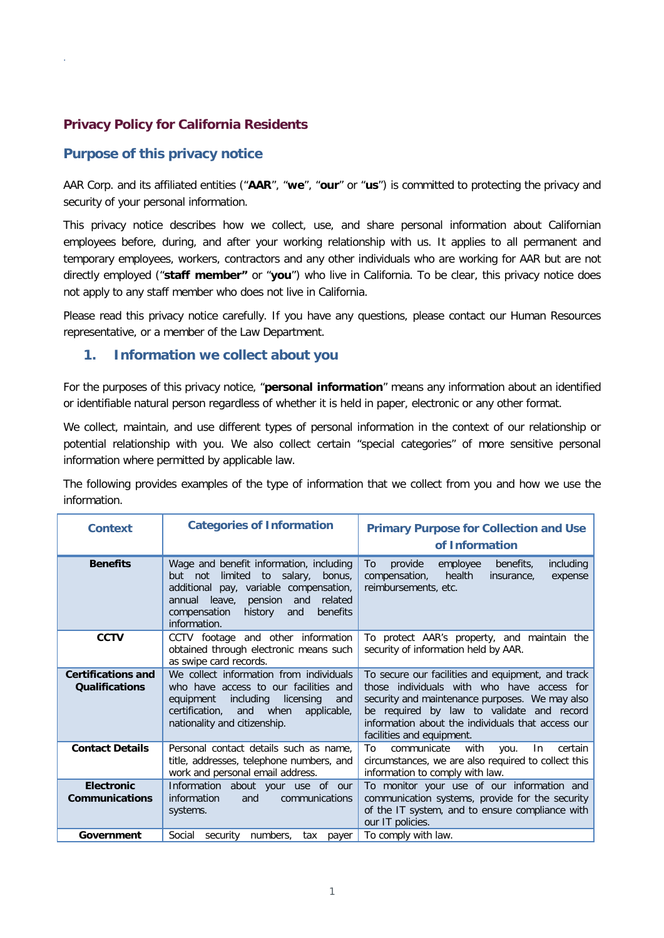## **Privacy Policy for California Residents**

## **Purpose of this privacy notice**

.

AAR Corp. and its affiliated entities ("**AAR**", "**we**", "**our**" or "**us**") is committed to protecting the privacy and security of your personal information.

This privacy notice describes how we collect, use, and share personal information about Californian employees before, during, and after your working relationship with us. It applies to all permanent and temporary employees, workers, contractors and any other individuals who are working for AAR but are not directly employed ("**staff member"** or "**you**") who live in California. To be clear, this privacy notice does not apply to any staff member who does not live in California.

Please read this privacy notice carefully. If you have any questions, please contact our Human Resources representative, or a member of the Law Department.

### **1. Information we collect about you**

For the purposes of this privacy notice, "**personal information**" means any information about an identified or identifiable natural person regardless of whether it is held in paper, electronic or any other format.

We collect, maintain, and use different types of personal information in the context of our relationship or potential relationship with you. We also collect certain "special categories" of more sensitive personal information where permitted by applicable law.

The following provides examples of the type of information that we collect from you and how we use the information.

| <b>Context</b>                                     | <b>Categories of Information</b>                                                                                                                                                                                                         | <b>Primary Purpose for Collection and Use</b><br>of Information                                                                                                                                                                                                                  |  |  |
|----------------------------------------------------|------------------------------------------------------------------------------------------------------------------------------------------------------------------------------------------------------------------------------------------|----------------------------------------------------------------------------------------------------------------------------------------------------------------------------------------------------------------------------------------------------------------------------------|--|--|
| <b>Benefits</b>                                    | Wage and benefit information, including<br>limited<br>to salary,<br>but<br>not<br>bonus.<br>additional pay, variable compensation,<br>annual leave, pension and<br>related<br>history<br>compensation<br>and<br>benefits<br>information. | provide<br>employee<br>benefits,<br>including<br>To<br>health<br>compensation,<br>insurance.<br>expense<br>reimbursements, etc.                                                                                                                                                  |  |  |
| <b>CCTV</b>                                        | CCTV footage and other information<br>obtained through electronic means such<br>as swipe card records.                                                                                                                                   | To protect AAR's property, and maintain the<br>security of information held by AAR.                                                                                                                                                                                              |  |  |
| <b>Certifications and</b><br><b>Qualifications</b> | We collect information from individuals<br>who have access to our facilities and<br>including<br>licensing<br>equipment<br>and<br>certification.<br>and when<br>applicable,<br>nationality and citizenship.                              | To secure our facilities and equipment, and track<br>those individuals with who have access for<br>security and maintenance purposes. We may also<br>be required by law to validate and record<br>information about the individuals that access our<br>facilities and equipment. |  |  |
| <b>Contact Details</b>                             | Personal contact details such as name.<br>title, addresses, telephone numbers, and<br>work and personal email address.                                                                                                                   | communicate<br>To<br>with<br>certain<br>you.<br>In<br>circumstances, we are also required to collect this<br>information to comply with law.                                                                                                                                     |  |  |
| <b>Electronic</b><br><b>Communications</b>         | Information about your use of our<br>information<br>and<br>communications<br>systems.                                                                                                                                                    | To monitor your use of our information and<br>communication systems, provide for the security<br>of the IT system, and to ensure compliance with<br>our IT policies.                                                                                                             |  |  |
| Government                                         | Social<br>security<br>numbers,<br>tax<br>payer                                                                                                                                                                                           | To comply with law.                                                                                                                                                                                                                                                              |  |  |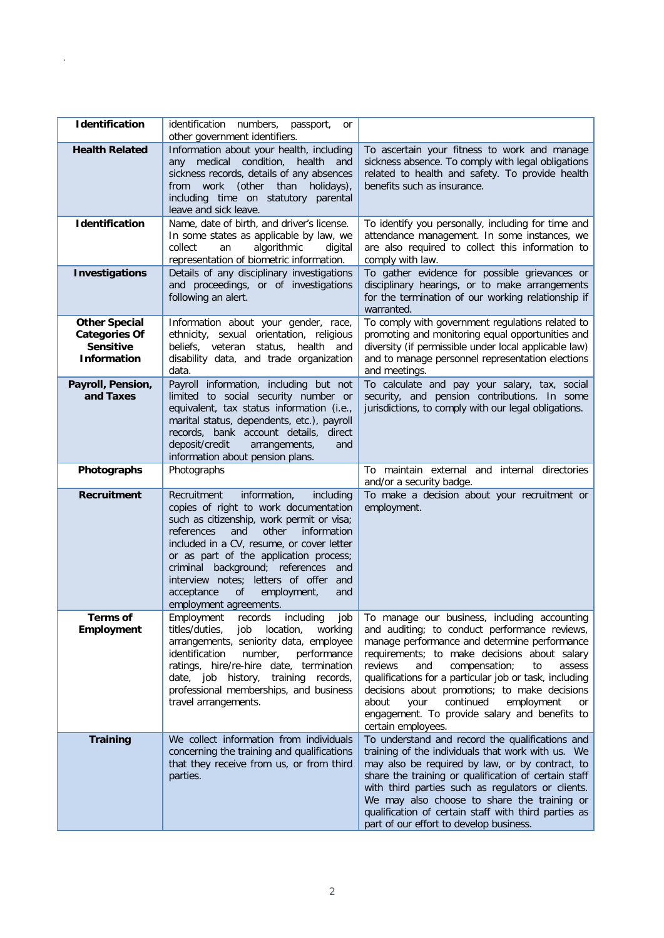| <b>Identification</b>                                                                  | identification numbers, passport,<br>or<br>other government identifiers.                                                                                                                                                                                                                                                                                                                                               |                                                                                                                                                                                                                                                                                                                                                                                                                                                                                      |
|----------------------------------------------------------------------------------------|------------------------------------------------------------------------------------------------------------------------------------------------------------------------------------------------------------------------------------------------------------------------------------------------------------------------------------------------------------------------------------------------------------------------|--------------------------------------------------------------------------------------------------------------------------------------------------------------------------------------------------------------------------------------------------------------------------------------------------------------------------------------------------------------------------------------------------------------------------------------------------------------------------------------|
| <b>Health Related</b>                                                                  | Information about your health, including<br>medical condition, health<br>and<br>any<br>sickness records, details of any absences<br>work (other than holidays),<br>from<br>including time on statutory parental<br>leave and sick leave.                                                                                                                                                                               | To ascertain your fitness to work and manage<br>sickness absence. To comply with legal obligations<br>related to health and safety. To provide health<br>benefits such as insurance.                                                                                                                                                                                                                                                                                                 |
| <b>Identification</b>                                                                  | Name, date of birth, and driver's license.<br>In some states as applicable by law, we<br>algorithmic<br>collect<br>an<br>digital<br>representation of biometric information.                                                                                                                                                                                                                                           | To identify you personally, including for time and<br>attendance management. In some instances, we<br>are also required to collect this information to<br>comply with law.                                                                                                                                                                                                                                                                                                           |
| <b>Investigations</b>                                                                  | Details of any disciplinary investigations<br>and proceedings, or of investigations<br>following an alert.                                                                                                                                                                                                                                                                                                             | To gather evidence for possible grievances or<br>disciplinary hearings, or to make arrangements<br>for the termination of our working relationship if<br>warranted.                                                                                                                                                                                                                                                                                                                  |
| <b>Other Special</b><br><b>Categories Of</b><br><b>Sensitive</b><br><b>Information</b> | Information about your gender, race,<br>ethnicity, sexual orientation, religious<br>status, health and<br>beliefs, veteran<br>disability data, and trade organization<br>data.                                                                                                                                                                                                                                         | To comply with government regulations related to<br>promoting and monitoring equal opportunities and<br>diversity (if permissible under local applicable law)<br>and to manage personnel representation elections<br>and meetings.                                                                                                                                                                                                                                                   |
| Payroll, Pension,<br>and Taxes                                                         | Payroll information, including but not<br>limited to social security number or<br>equivalent, tax status information (i.e.,<br>marital status, dependents, etc.), payroll<br>records, bank account details, direct<br>deposit/credit<br>arrangements,<br>and<br>information about pension plans.                                                                                                                       | To calculate and pay your salary, tax, social<br>security, and pension contributions. In some<br>jurisdictions, to comply with our legal obligations.                                                                                                                                                                                                                                                                                                                                |
| Photographs                                                                            | Photographs                                                                                                                                                                                                                                                                                                                                                                                                            | To maintain external and internal directories<br>and/or a security badge.                                                                                                                                                                                                                                                                                                                                                                                                            |
| Recruitment                                                                            | Recruitment<br>information,<br>including<br>copies of right to work documentation<br>such as citizenship, work permit or visa;<br>other<br>information<br>references<br>and<br>included in a CV, resume, or cover letter<br>or as part of the application process;<br>criminal background; references and<br>interview notes; letters of offer and<br>of<br>employment,<br>acceptance<br>and<br>employment agreements. | To make a decision about your recruitment or<br>employment.                                                                                                                                                                                                                                                                                                                                                                                                                          |
| Terms of<br>Employment                                                                 | job<br>records including<br>Employment<br>titles/duties,<br>location,<br>job<br>working<br>arrangements, seniority data, employee<br>identification<br>number,<br>performance<br>ratings, hire/re-hire date, termination<br>date, job history,<br>training records,<br>professional memberships, and business<br>travel arrangements.                                                                                  | To manage our business, including accounting<br>and auditing; to conduct performance reviews,<br>manage performance and determine performance<br>requirements; to make decisions about salary<br>reviews<br>and<br>compensation;<br>to<br>assess<br>qualifications for a particular job or task, including<br>decisions about promotions; to make decisions<br>about<br>continued<br>employment<br>your<br>or<br>engagement. To provide salary and benefits to<br>certain employees. |
| <b>Training</b>                                                                        | We collect information from individuals<br>concerning the training and qualifications<br>that they receive from us, or from third<br>parties.                                                                                                                                                                                                                                                                          | To understand and record the qualifications and<br>training of the individuals that work with us. We<br>may also be required by law, or by contract, to<br>share the training or qualification of certain staff<br>with third parties such as regulators or clients.<br>We may also choose to share the training or<br>qualification of certain staff with third parties as<br>part of our effort to develop business.                                                               |

.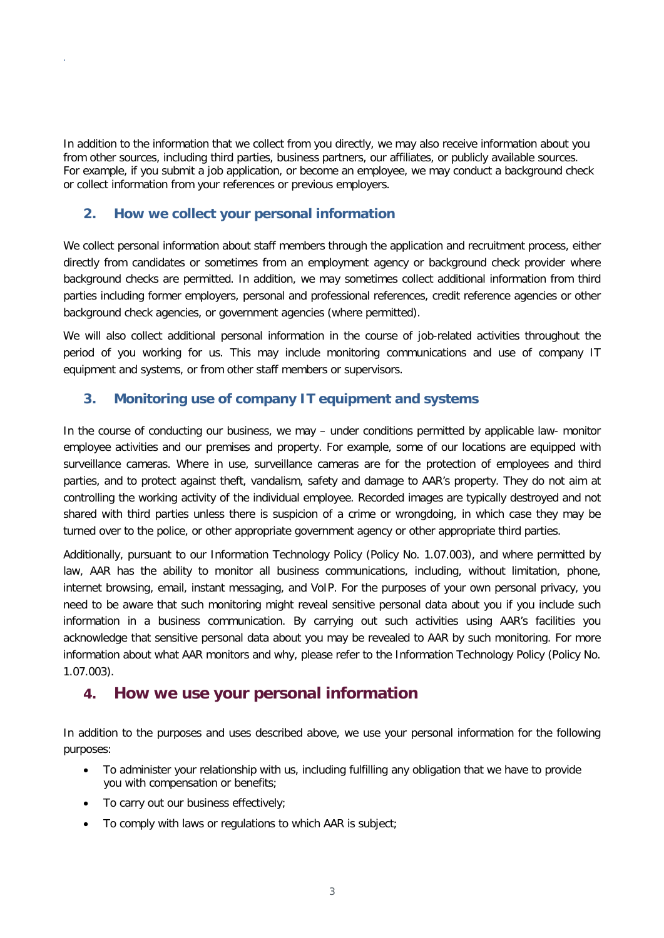In addition to the information that we collect from you directly, we may also receive information about you from other sources, including third parties, business partners, our affiliates, or publicly available sources. For example, if you submit a job application, or become an employee, we may conduct a background check or collect information from your references or previous employers.

## **2. How we collect your personal information**

.

We collect personal information about staff members through the application and recruitment process, either directly from candidates or sometimes from an employment agency or background check provider where background checks are permitted. In addition, we may sometimes collect additional information from third parties including former employers, personal and professional references, credit reference agencies or other background check agencies, or government agencies (where permitted).

We will also collect additional personal information in the course of job-related activities throughout the period of you working for us. This may include monitoring communications and use of company IT equipment and systems, or from other staff members or supervisors.

## **3. Monitoring use of company IT equipment and systems**

In the course of conducting our business, we may – under conditions permitted by applicable law- monitor employee activities and our premises and property. For example, some of our locations are equipped with surveillance cameras. Where in use, surveillance cameras are for the protection of employees and third parties, and to protect against theft, vandalism, safety and damage to AAR's property. They do not aim at controlling the working activity of the individual employee. Recorded images are typically destroyed and not shared with third parties unless there is suspicion of a crime or wrongdoing, in which case they may be turned over to the police, or other appropriate government agency or other appropriate third parties.

Additionally, pursuant to our Information Technology Policy (Policy No. 1.07.003), and where permitted by law, AAR has the ability to monitor all business communications, including, without limitation, phone, internet browsing, email, instant messaging, and VoIP. For the purposes of your own personal privacy, you need to be aware that such monitoring might reveal sensitive personal data about you if you include such information in a business communication. By carrying out such activities using AAR's facilities you acknowledge that sensitive personal data about you may be revealed to AAR by such monitoring. For more information about what AAR monitors and why, please refer to the Information Technology Policy (Policy No. 1.07.003).

# **4. How we use your personal information**

In addition to the purposes and uses described above, we use your personal information for the following purposes:

- To administer your relationship with us, including fulfilling any obligation that we have to provide you with compensation or benefits;
- To carry out our business effectively;
- To comply with laws or regulations to which AAR is subject;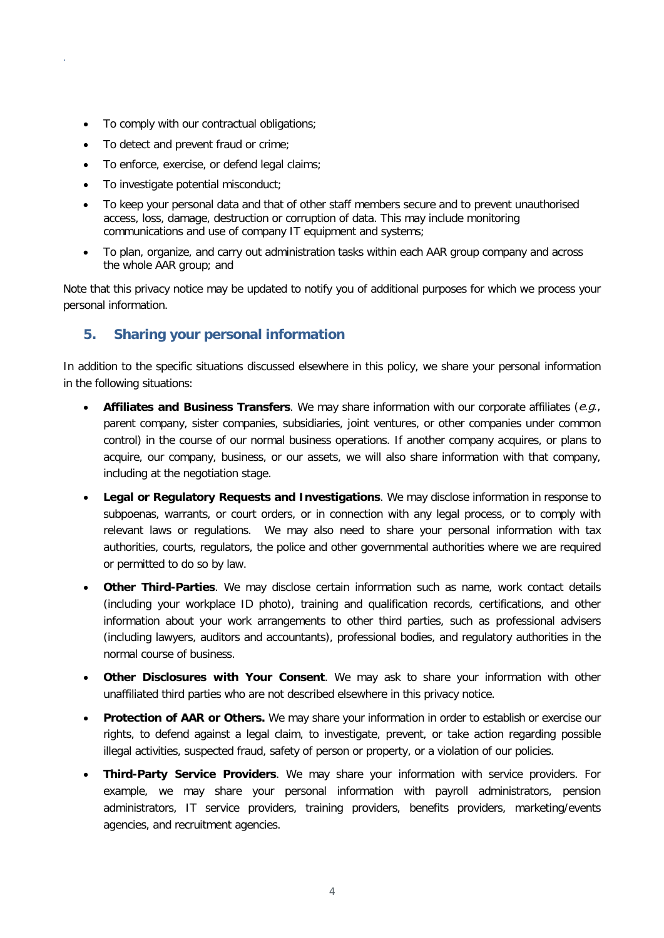- To comply with our contractual obligations;
- To detect and prevent fraud or crime;

.

- To enforce, exercise, or defend legal claims;
- To investigate potential misconduct;
- To keep your personal data and that of other staff members secure and to prevent unauthorised access, loss, damage, destruction or corruption of data. This may include monitoring communications and use of company IT equipment and systems;
- To plan, organize, and carry out administration tasks within each AAR group company and across the whole AAR group; and

Note that this privacy notice may be updated to notify you of additional purposes for which we process your personal information.

## **5. Sharing your personal information**

In addition to the specific situations discussed elsewhere in this policy, we share your personal information in the following situations:

- **Affiliates and Business Transfers**. We may share information with our corporate affiliates (e.g., parent company, sister companies, subsidiaries, joint ventures, or other companies under common control) in the course of our normal business operations. If another company acquires, or plans to acquire, our company, business, or our assets, we will also share information with that company, including at the negotiation stage.
- **Legal or Regulatory Requests and Investigations**. We may disclose information in response to subpoenas, warrants, or court orders, or in connection with any legal process, or to comply with relevant laws or regulations. We may also need to share your personal information with tax authorities, courts, regulators, the police and other governmental authorities where we are required or permitted to do so by law.
- **Other Third-Parties**. We may disclose certain information such as name, work contact details (including your workplace ID photo), training and qualification records, certifications, and other information about your work arrangements to other third parties, such as professional advisers (including lawyers, auditors and accountants), professional bodies, and regulatory authorities in the normal course of business.
- **Other Disclosures with Your Consent**. We may ask to share your information with other unaffiliated third parties who are not described elsewhere in this privacy notice.
- **Protection of AAR or Others.** We may share your information in order to establish or exercise our rights, to defend against a legal claim, to investigate, prevent, or take action regarding possible illegal activities, suspected fraud, safety of person or property, or a violation of our policies.
- **Third-Party Service Providers**. We may share your information with service providers. For example, we may share your personal information with payroll administrators, pension administrators, IT service providers, training providers, benefits providers, marketing/events agencies, and recruitment agencies.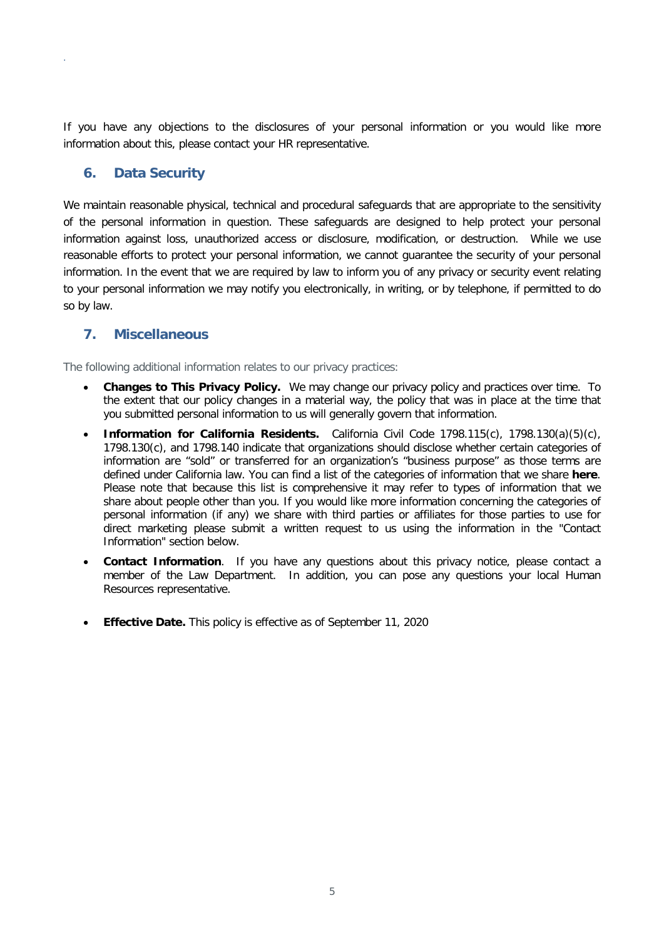If you have any objections to the disclosures of your personal information or you would like more information about this, please contact your HR representative.

## **6. Data Security**

.

We maintain reasonable physical, technical and procedural safeguards that are appropriate to the sensitivity of the personal information in question. These safeguards are designed to help protect your personal information against loss, unauthorized access or disclosure, modification, or destruction. While we use reasonable efforts to protect your personal information, we cannot guarantee the security of your personal information. In the event that we are required by law to inform you of any privacy or security event relating to your personal information we may notify you electronically, in writing, or by telephone, if permitted to do so by law.

## **7. Miscellaneous**

The following additional information relates to our privacy practices:

- **Changes to This Privacy Policy.** We may change our privacy policy and practices over time. To the extent that our policy changes in a material way, the policy that was in place at the time that you submitted personal information to us will generally govern that information.
- **Information for California Residents.** California Civil Code 1798.115(c), 1798.130(a)(5)(c), 1798.130(c), and 1798.140 indicate that organizations should disclose whether certain categories of information are "sold" or transferred for an organization's "business purpose" as those terms are defined under California law. You can find a list of the categories of information that we share **here**. Please note that because this list is comprehensive it may refer to types of information that we share about people other than you. If you would like more information concerning the categories of personal information (if any) we share with third parties or affiliates for those parties to use for direct marketing please submit a written request to us using the information in the "Contact Information" section below.
- **Contact Information**. If you have any questions about this privacy notice, please contact a member of the Law Department. In addition, you can pose any questions your local Human Resources representative.
- **Effective Date.** This policy is effective as of September 11, 2020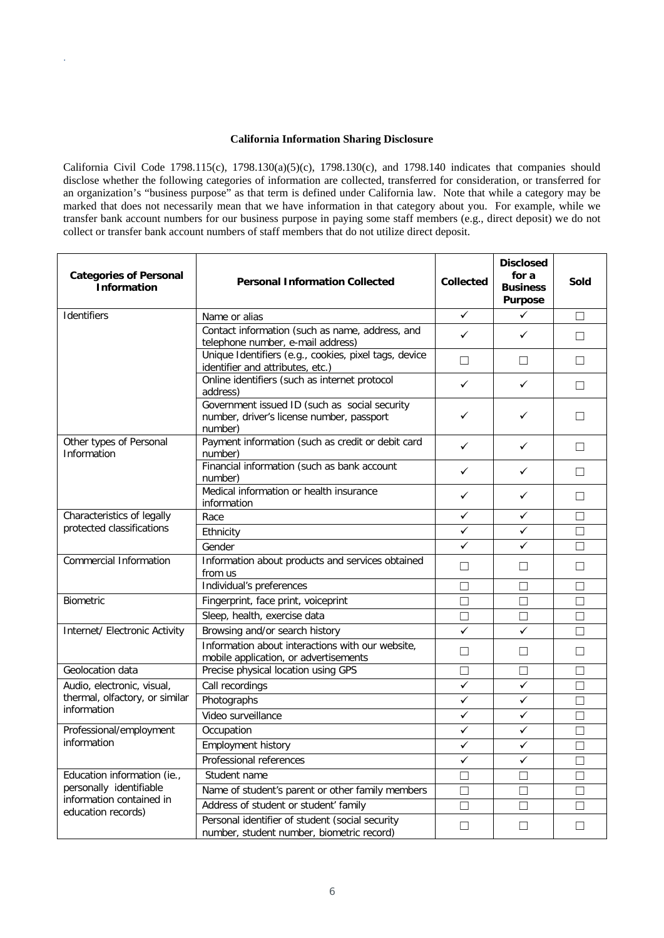#### **California Information Sharing Disclosure**

.

California Civil Code 1798.115(c), 1798.130(a)(5)(c), 1798.130(c), and 1798.140 indicates that companies should disclose whether the following categories of information are collected, transferred for consideration, or transferred for an organization's "business purpose" as that term is defined under California law. Note that while a category may be marked that does not necessarily mean that we have information in that category about you. For example, while we transfer bank account numbers for our business purpose in paying some staff members (e.g., direct deposit) we do not collect or transfer bank account numbers of staff members that do not utilize direct deposit.

| <b>Categories of Personal</b><br><b>Information</b>                                                      | <b>Personal Information Collected</b>                                                                 | <b>Collected</b> | <b>Disclosed</b><br>for a<br><b>Business</b><br><b>Purpose</b> | Sold    |
|----------------------------------------------------------------------------------------------------------|-------------------------------------------------------------------------------------------------------|------------------|----------------------------------------------------------------|---------|
| Identifiers                                                                                              | Name or alias                                                                                         | ✓                | ✓                                                              | $\Box$  |
|                                                                                                          | Contact information (such as name, address, and<br>telephone number, e-mail address)                  | ✓                | ✓                                                              | П       |
|                                                                                                          | Unique Identifiers (e.g., cookies, pixel tags, device<br>identifier and attributes, etc.)             | $\Box$           | □                                                              | П       |
|                                                                                                          | Online identifiers (such as internet protocol<br>address)                                             | ✓                | ✓                                                              | $\Box$  |
|                                                                                                          | Government issued ID (such as social security<br>number, driver's license number, passport<br>number) | ✓                | ✓                                                              |         |
| Other types of Personal<br>Information                                                                   | Payment information (such as credit or debit card<br>number)                                          | ✓                | ✓                                                              | ГI      |
|                                                                                                          | Financial information (such as bank account<br>number)                                                | ✓                | ✓                                                              | П       |
|                                                                                                          | Medical information or health insurance<br>information                                                | ✓                | ✓                                                              | П       |
| Characteristics of legally                                                                               | Race                                                                                                  | ✓                | ✓                                                              | Г       |
| protected classifications                                                                                | Ethnicity                                                                                             | $\checkmark$     | ✓                                                              | $\Box$  |
|                                                                                                          | Gender                                                                                                | $\checkmark$     | $\checkmark$                                                   | $\Box$  |
| <b>Commercial Information</b>                                                                            | Information about products and services obtained<br>from us                                           | □                | □                                                              | П       |
|                                                                                                          | Individual's preferences                                                                              | П                | $\Box$                                                         | Г       |
| <b>Biometric</b>                                                                                         | Fingerprint, face print, voiceprint                                                                   | $\Box$           | $\Box$                                                         | $\Box$  |
|                                                                                                          | Sleep, health, exercise data                                                                          | $\Box$           | П                                                              | $\Box$  |
| Internet/ Electronic Activity                                                                            | Browsing and/or search history                                                                        | $\checkmark$     | ✓                                                              | П       |
|                                                                                                          | Information about interactions with our website,<br>mobile application, or advertisements             | $\Box$           | □                                                              | $\perp$ |
| Geolocation data                                                                                         | Precise physical location using GPS                                                                   | □                | □                                                              | Г       |
| Audio, electronic, visual,                                                                               | Call recordings                                                                                       | $\checkmark$     | ✓                                                              | П       |
| thermal, olfactory, or similar                                                                           | Photographs                                                                                           | $\checkmark$     | $\checkmark$                                                   | П       |
| information                                                                                              | Video surveillance                                                                                    | $\checkmark$     | ✓                                                              | П       |
| Professional/employment                                                                                  | Occupation                                                                                            | $\checkmark$     | ✓                                                              | Г       |
| information                                                                                              | Employment history                                                                                    | $\checkmark$     | ✓                                                              | $\Box$  |
|                                                                                                          | Professional references                                                                               | $\checkmark$     | $\checkmark$                                                   | Г       |
| Education information (ie.,<br>personally identifiable<br>information contained in<br>education records) | Student name                                                                                          | П                | П                                                              | П       |
|                                                                                                          | Name of student's parent or other family members                                                      | П                | П                                                              | П       |
|                                                                                                          | Address of student or student' family                                                                 | $\Box$           | $\Box$                                                         | $\Box$  |
|                                                                                                          | Personal identifier of student (social security<br>number, student number, biometric record)          | $\Box$           | $\Box$                                                         | $\Box$  |